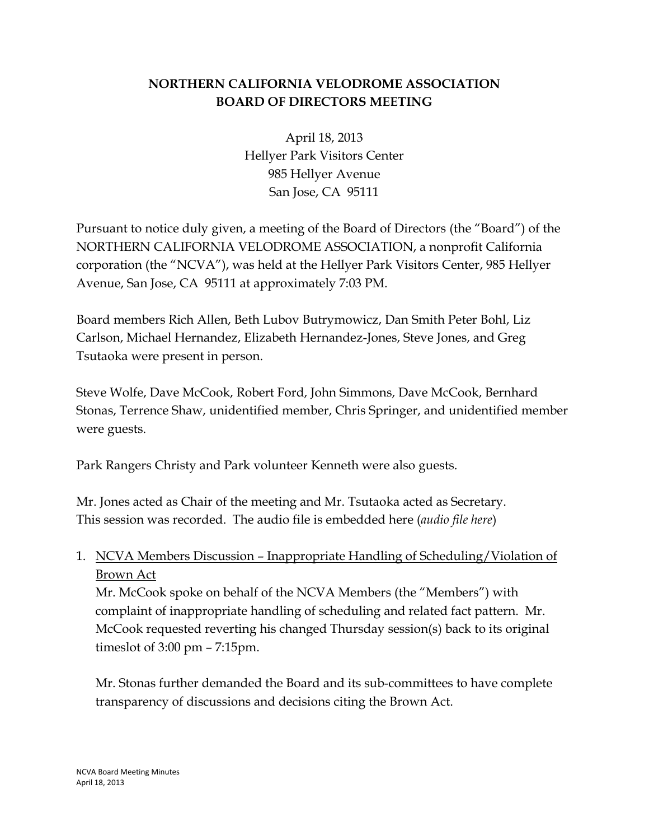## **NORTHERN CALIFORNIA VELODROME ASSOCIATION BOARD OF DIRECTORS MEETING**

April 18, 2013 Hellyer Park Visitors Center 985 Hellyer Avenue San Jose, CA 95111

Pursuant to notice duly given, a meeting of the Board of Directors (the "Board") of the NORTHERN CALIFORNIA VELODROME ASSOCIATION, a nonprofit California corporation (the "NCVA"), was held at the Hellyer Park Visitors Center, 985 Hellyer Avenue, San Jose, CA 95111 at approximately 7:03 PM.

Board members Rich Allen, Beth Lubov Butrymowicz, Dan Smith Peter Bohl, Liz Carlson, Michael Hernandez, Elizabeth Hernandez-Jones, Steve Jones, and Greg Tsutaoka were present in person.

Steve Wolfe, Dave McCook, Robert Ford, John Simmons, Dave McCook, Bernhard Stonas, Terrence Shaw, unidentified member, Chris Springer, and unidentified member were guests.

Park Rangers Christy and Park volunteer Kenneth were also guests.

Mr. Jones acted as Chair of the meeting and Mr. Tsutaoka acted as Secretary. This session was recorded. The audio file is embedded here (*audio file here*)

1. NCVA Members Discussion – Inappropriate Handling of Scheduling/Violation of Brown Act

Mr. McCook spoke on behalf of the NCVA Members (the "Members") with complaint of inappropriate handling of scheduling and related fact pattern. Mr. McCook requested reverting his changed Thursday session(s) back to its original timeslot of 3:00 pm – 7:15pm.

Mr. Stonas further demanded the Board and its sub-committees to have complete transparency of discussions and decisions citing the Brown Act.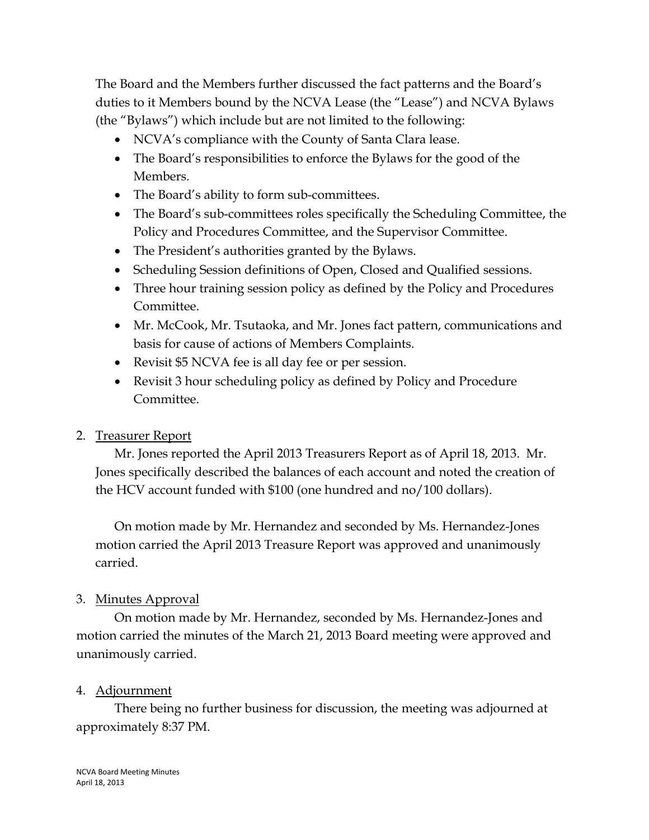The Board and the Members further discussed the fact patterns and the Board's duties to it Members bound by the NCVA Lease (the "Lease") and NCVA Bylaws (the "Bylaws") which include but are not limited to the following:

- NCVA's compliance with the County of Santa Clara lease.
- The Board's responsibilities to enforce the Bylaws for the good of the Members.
- The Board's ability to form sub-committees.
- The Board's sub-committees roles specifically the Scheduling Committee, the Policy and Procedures Committee, and the Supervisor Committee.
- The President's authorities granted by the Bylaws.
- Scheduling Session definitions of Open, Closed and Qualified sessions.
- Three hour training session policy as defined by the Policy and Procedures Committee.
- Mr. McCook, Mr. Tsutaoka, and Mr. Jones fact pattern, communications and basis for cause of actions of Members Complaints.
- Revisit \$5 NCVA fee is all day fee or per session.
- Revisit 3 hour scheduling policy as defined by Policy and Procedure Committee.

## 2. Treasurer Report

Mr. Jones reported the April 2013 Treasurers Report as of April 18, 2013. Mr. Jones specifically described the balances of each account and noted the creation of the HCV account funded with \$100 (one hundred and no/100 dollars).

On motion made by Mr. Hernandez and seconded by Ms. Hernandez-Jones motion carried the April 2013 Treasure Report was approved and unanimously carried.

## 3. Minutes Approval

On motion made by Mr. Hernandez, seconded by Ms. Hernandez-Jones and motion carried the minutes of the March 21, 2013 Board meeting were approved and unanimously carried.

#### 4. Adjournment

There being no further business for discussion, the meeting was adjourned at approximately 8:37 PM.